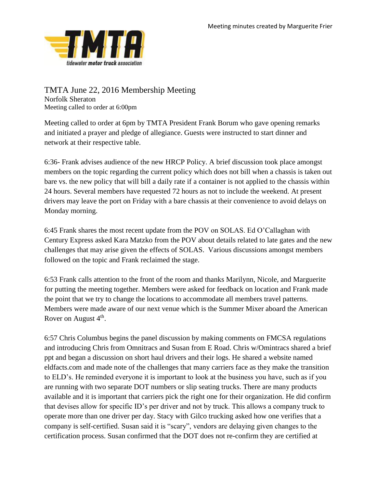

TMTA June 22, 2016 Membership Meeting Norfolk Sheraton Meeting called to order at 6:00pm

Meeting called to order at 6pm by TMTA President Frank Borum who gave opening remarks and initiated a prayer and pledge of allegiance. Guests were instructed to start dinner and network at their respective table.

6:36- Frank advises audience of the new HRCP Policy. A brief discussion took place amongst members on the topic regarding the current policy which does not bill when a chassis is taken out bare vs. the new policy that will bill a daily rate if a container is not applied to the chassis within 24 hours. Several members have requested 72 hours as not to include the weekend. At present drivers may leave the port on Friday with a bare chassis at their convenience to avoid delays on Monday morning.

6:45 Frank shares the most recent update from the POV on SOLAS. Ed O'Callaghan with Century Express asked Kara Matzko from the POV about details related to late gates and the new challenges that may arise given the effects of SOLAS. Various discussions amongst members followed on the topic and Frank reclaimed the stage.

6:53 Frank calls attention to the front of the room and thanks Marilynn, Nicole, and Marguerite for putting the meeting together. Members were asked for feedback on location and Frank made the point that we try to change the locations to accommodate all members travel patterns. Members were made aware of our next venue which is the Summer Mixer aboard the American Rover on August  $4<sup>th</sup>$ .

6:57 Chris Columbus begins the panel discussion by making comments on FMCSA regulations and introducing Chris from Omnitracs and Susan from E Road. Chris w/Omintracs shared a brief ppt and began a discussion on short haul drivers and their logs. He shared a website named eldfacts.com and made note of the challenges that many carriers face as they make the transition to ELD's. He reminded everyone it is important to look at the business you have, such as if you are running with two separate DOT numbers or slip seating trucks. There are many products available and it is important that carriers pick the right one for their organization. He did confirm that devises allow for specific ID's per driver and not by truck. This allows a company truck to operate more than one driver per day. Stacy with Gilco trucking asked how one verifies that a company is self-certified. Susan said it is "scary", vendors are delaying given changes to the certification process. Susan confirmed that the DOT does not re-confirm they are certified at